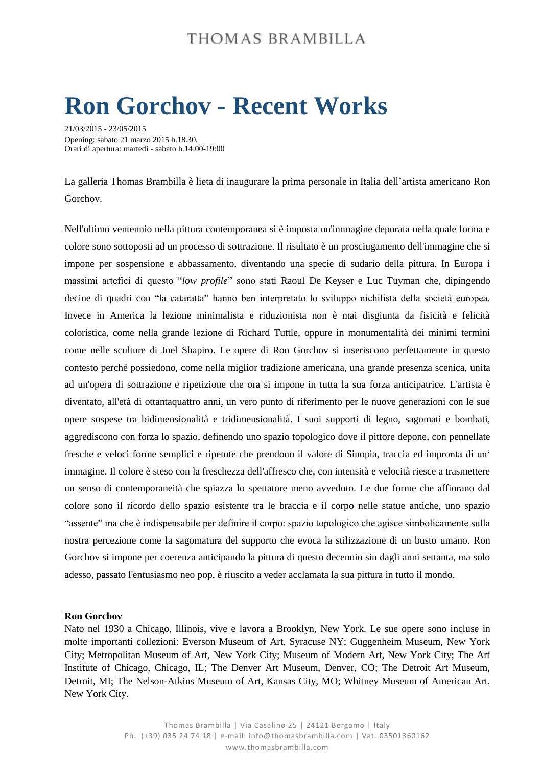### THOMAS BRAMBILLA

# **Ron Gorchov - Recent Works**

21/03/2015 - 23/05/2015 Opening: sabato 21 marzo 2015 h.18.30*.* Orari di apertura: martedì - sabato h.14:00-19:00

La galleria Thomas Brambilla è lieta di inaugurare la prima personale in Italia dell'artista americano Ron Gorchov.

Nell'ultimo ventennio nella pittura contemporanea si è imposta un'immagine depurata nella quale forma e colore sono sottoposti ad un processo di sottrazione. Il risultato è un prosciugamento dell'immagine che si impone per sospensione e abbassamento, diventando una specie di sudario della pittura. In Europa i massimi artefici di questo "*low profile*" sono stati Raoul De Keyser e Luc Tuyman che, dipingendo decine di quadri con "la cataratta" hanno ben interpretato lo sviluppo nichilista della società europea. Invece in America la lezione minimalista e riduzionista non è mai disgiunta da fisicità e felicità coloristica, come nella grande lezione di Richard Tuttle, oppure in monumentalità dei minimi termini come nelle sculture di Joel Shapiro. Le opere di Ron Gorchov si inseriscono perfettamente in questo contesto perché possiedono, come nella miglior tradizione americana, una grande presenza scenica, unita ad un'opera di sottrazione e ripetizione che ora si impone in tutta la sua forza anticipatrice. L'artista è diventato, all'età di ottantaquattro anni, un vero punto di riferimento per le nuove generazioni con le sue opere sospese tra bidimensionalità e tridimensionalità. I suoi supporti di legno, sagomati e bombati, aggrediscono con forza lo spazio, definendo uno spazio topologico dove il pittore depone, con pennellate fresche e veloci forme semplici e ripetute che prendono il valore di Sinopia, traccia ed impronta di un' immagine. Il colore è steso con la freschezza dell'affresco che, con intensità e velocità riesce a trasmettere un senso di contemporaneità che spiazza lo spettatore meno avveduto. Le due forme che affiorano dal colore sono il ricordo dello spazio esistente tra le braccia e il corpo nelle statue antiche, uno spazio "assente" ma che è indispensabile per definire il corpo: spazio topologico che agisce simbolicamente sulla nostra percezione come la sagomatura del supporto che evoca la stilizzazione di un busto umano. Ron Gorchov si impone per coerenza anticipando la pittura di questo decennio sin dagli anni settanta, ma solo adesso, passato l'entusiasmo neo pop, è riuscito a veder acclamata la sua pittura in tutto il mondo.

#### **Ron Gorchov**

Nato nel 1930 a Chicago, Illinois, vive e lavora a Brooklyn, New York. Le sue opere sono incluse in molte importanti collezioni: Everson Museum of Art, Syracuse NY; Guggenheim Museum, New York City; Metropolitan Museum of Art, New York City; Museum of Modern Art, New York City; The Art Institute of Chicago, Chicago, IL; The Denver Art Museum, Denver, CO; The Detroit Art Museum, Detroit, MI; The Nelson-Atkins Museum of Art, Kansas City, MO; Whitney Museum of American Art, New York City.